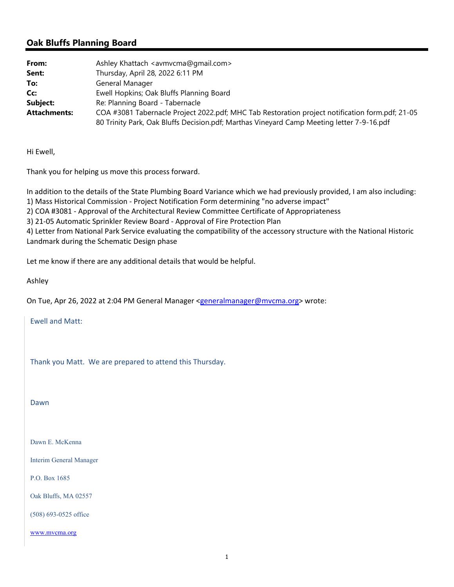## **Oak Bluffs Planning Board**

| From:               | Ashley Khattach <avmvcma@gmail.com></avmvcma@gmail.com>                                         |
|---------------------|-------------------------------------------------------------------------------------------------|
| Sent:               | Thursday, April 28, 2022 6:11 PM                                                                |
| To:                 | General Manager                                                                                 |
| Cc:                 | Ewell Hopkins; Oak Bluffs Planning Board                                                        |
| Subject:            | Re: Planning Board - Tabernacle                                                                 |
| <b>Attachments:</b> | COA #3081 Tabernacle Project 2022.pdf; MHC Tab Restoration project notification form.pdf; 21-05 |
|                     | 80 Trinity Park, Oak Bluffs Decision.pdf; Marthas Vineyard Camp Meeting letter 7-9-16.pdf       |

Hi Ewell,

Thank you for helping us move this process forward.

In addition to the details of the State Plumbing Board Variance which we had previously provided, I am also including: 1) Mass Historical Commission ‐ Project Notification Form determining "no adverse impact"

2) COA #3081 ‐ Approval of the Architectural Review Committee Certificate of Appropriateness

3) 21‐05 Automatic Sprinkler Review Board ‐ Approval of Fire Protection Plan

4) Letter from National Park Service evaluating the compatibility of the accessory structure with the National Historic Landmark during the Schematic Design phase

Let me know if there are any additional details that would be helpful.

Ashley

On Tue, Apr 26, 2022 at 2:04 PM General Manager <generalmanager@mvcma.org> wrote:

Ewell and Matt:

Thank you Matt. We are prepared to attend this Thursday.

Dawn

Dawn E. McKenna

Interim General Manager

P.O. Box 1685

Oak Bluffs, MA 02557

(508) 693-0525 office

www.mvcma.org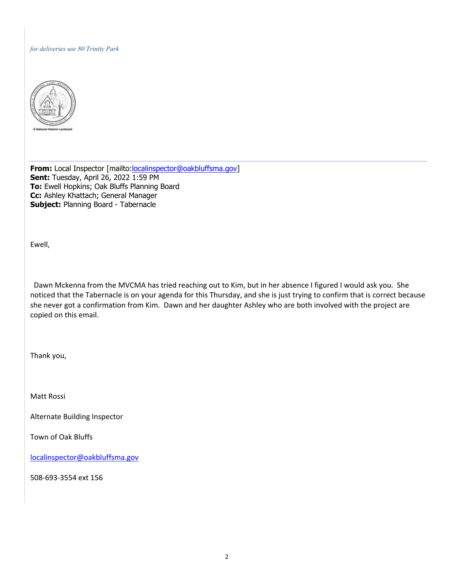## *for deliveries use 80 Trinity Park*



**From:** Local Inspector [mailto: localinspector@oakbluffsma.gov] **Sent:** Tuesday, April 26, 2022 1:59 PM **To:** Ewell Hopkins; Oak Bluffs Planning Board **Cc:** Ashley Khattach; General Manager **Subject:** Planning Board - Tabernacle

Ewell,

 Dawn Mckenna from the MVCMA has tried reaching out to Kim, but in her absence I figured I would ask you. She noticed that the Tabernacle is on your agenda for this Thursday, and she is just trying to confirm that is correct because she never got a confirmation from Kim. Dawn and her daughter Ashley who are both involved with the project are copied on this email.

Thank you,

Matt Rossi

Alternate Building Inspector

Town of Oak Bluffs

localinspector@oakbluffsma.gov

508‐693‐3554 ext 156